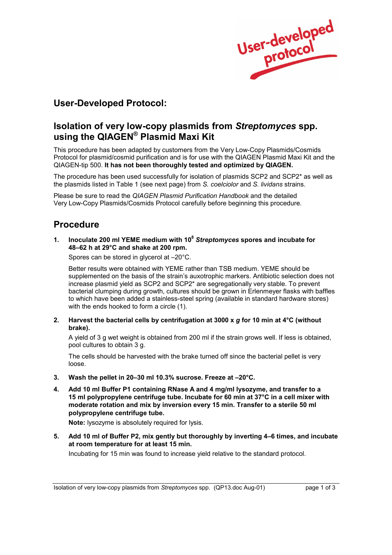User-developed

# **User-Developed Protocol:**

## **Isolation of very low-copy plasmids from** *Streptomyces* **spp.** using the QIAGEN<sup>®</sup> Plasmid Maxi Kit

This procedure has been adapted by customers from the Very Low-Copy Plasmids/Cosmids Protocol for plasmid/cosmid purification and is for use with the QIAGEN Plasmid Maxi Kit and the QIAGEN-tip 500. **It has not been thoroughly tested and optimized by QIAGEN.**

The procedure has been used successfully for isolation of plasmids SCP2 and SCP2\* as well as the plasmids listed in Table 1 (see next page) from *S. coelciolor* and *S. lividans* strains.

Please be sure to read the *QIAGEN Plasmid Purification Handbook* and the detailed Very Low-Copy Plasmids/Cosmids Protocol carefully before beginning this procedure.

# **Procedure**

**1. Inoculate 200 ml YEME medium with 108** *Streptomyces* **spores and incubate for 48ñ62 h at 29°C and shake at 200 rpm.** 

Spores can be stored in glycerol at  $-20^{\circ}$ C.

 Better results were obtained with YEME rather than TSB medium. YEME should be supplemented on the basis of the strain's auxotrophic markers. Antibiotic selection does not increase plasmid yield as SCP2 and SCP2\* are segregationally very stable. To prevent bacterial clumping during growth, cultures should be grown in Erlenmeyer flasks with baffles to which have been added a stainless-steel spring (available in standard hardware stores) with the ends hooked to form a circle (1).

**2. Harvest the bacterial cells by centrifugation at 3000 x** *g* **for 10 min at 4°C (without brake).** 

 A yield of 3 g wet weight is obtained from 200 ml if the strain grows well. If less is obtained, pool cultures to obtain 3 g.

 The cells should be harvested with the brake turned off since the bacterial pellet is very loose.

- 3. Wash the pellet in 20-30 ml 10.3% sucrose. Freeze at -20°C.
- **4. Add 10 ml Buffer P1 containing RNase A and 4 mg/ml lysozyme, and transfer to a 15 ml polypropylene centrifuge tube. Incubate for 60 min at 37°C in a cell mixer with moderate rotation and mix by inversion every 15 min. Transfer to a sterile 50 ml polypropylene centrifuge tube.**

**Note:** lysozyme is absolutely required for lysis.

**5.** Add 10 ml of Buffer P2, mix gently but thoroughly by inverting 4–6 times, and incubate **at room temperature for at least 15 min.** 

Incubating for 15 min was found to increase yield relative to the standard protocol.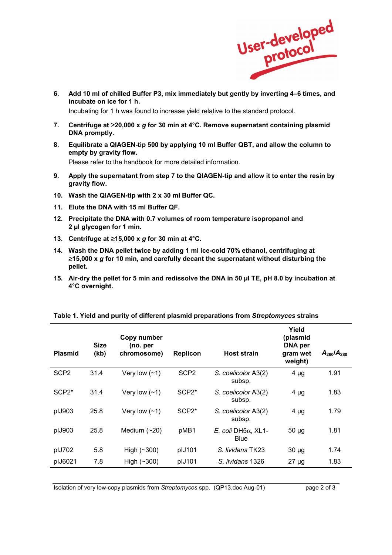

6. Add 10 ml of chilled Buffer P3, mix immediately but gently by inverting 4-6 times, and **incubate on ice for 1 h.** 

Incubating for 1 h was found to increase yield relative to the standard protocol.

- **7. Centrifuge at** ≥**20,000 x** *g* **for 30 min at 4°C. Remove supernatant containing plasmid DNA promptly.**
- **8. Equilibrate a QIAGEN-tip 500 by applying 10 ml Buffer QBT, and allow the column to empty by gravity flow.**

Please refer to the handbook for more detailed information.

- **9. Apply the supernatant from step 7 to the QIAGEN-tip and allow it to enter the resin by gravity flow.**
- **10. Wash the QIAGEN-tip with 2 x 30 ml Buffer QC.**
- **11. Elute the DNA with 15 ml Buffer QF.**
- **12. Precipitate the DNA with 0.7 volumes of room temperature isopropanol and 2 µl glycogen for 1 min.**
- **13. Centrifuge at** ≥**15,000 x** *g* **for 30 min at 4°C.**
- **14. Wash the DNA pellet twice by adding 1 ml ice-cold 70% ethanol, centrifuging at**  ≥**15,000 x** *g* **for 10 min, and carefully decant the supernatant without disturbing the pellet.**
- **15. Air-dry the pellet for 5 min and redissolve the DNA in 50 µl TE, pH 8.0 by incubation at 4°C overnight.**

| <b>Plasmid</b>     | <b>Size</b><br>(kb) | Copy number<br>(no. per<br>chromosome) | <b>Replicon</b>  | <b>Host strain</b>                | Yield<br>(plasmid<br><b>DNA</b> per<br>gram wet<br>weight) | $A_{250}/A_{280}$ |
|--------------------|---------------------|----------------------------------------|------------------|-----------------------------------|------------------------------------------------------------|-------------------|
| SCP <sub>2</sub>   | 31.4                | Very low $(-1)$                        | SCP <sub>2</sub> | S. coelicolor A3(2)<br>subsp.     | $4 \mu g$                                                  | 1.91              |
| SCP <sub>2</sub> * | 31.4                | Very low $(-1)$                        | $SCP2*$          | S. coelicolor A3(2)<br>subsp.     | $4 \mu g$                                                  | 1.83              |
| plJ903             | 25.8                | Very low $(-1)$                        | $SCP2*$          | S. coelicolor A3(2)<br>subsp.     | $4 \mu g$                                                  | 1.79              |
| pIJ903             | 25.8                | Medium $(\sim 20)$                     | pMB1             | <i>E. coli</i> DH5α. XL1-<br>Blue | $50 \mu g$                                                 | 1.81              |
| plJ702             | 5.8                 | High $(\sim 300)$                      | plJ101           | S. lividans TK23                  | $30 \mu g$                                                 | 1.74              |
| plJ6021            | 7.8                 | High $(\sim 300)$                      | plJ101           | S. lividans 1326                  | $27 \mu g$                                                 | 1.83              |

#### **Table 1. Yield and purity of different plasmid preparations from** *Streptomyces* **strains**

Isolation of very low-copy plasmids from *Streptomyces* spp. (QP13.doc Aug-01) page 2 of 3